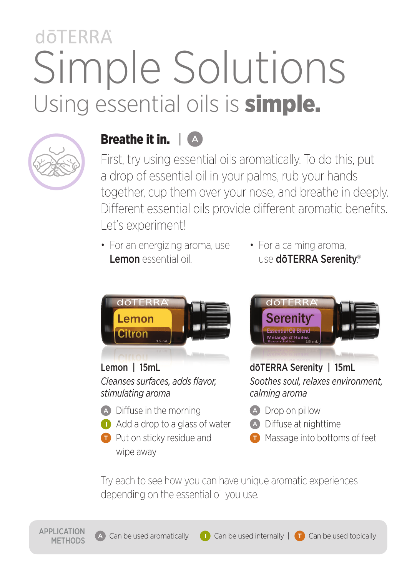# dōTFRRA Simple Solutions Using essential oils is **simple.**



APPLICATION

### Breathe it in. | A

First, try using essential oils aromatically. To do this, put a drop of essential oil in your palms, rub your hands together, cup them over your nose, and breathe in deeply. Different essential oils provide different aromatic benefits. Let's experiment!

- For an energizing aroma, use Lemon essential oil
- For a calming aroma, use dōTERRA Serenity®



### Lemon | 15mL *Cleanses surfaces, adds flavor, stimulating aroma*

- **A** Diffuse in the morning
- Add a drop to a glass of water
- **Put on sticky residue and** wipe away



dōTERRA Serenity | 15mL *Soothes soul, relaxes environment, calming aroma*

- **A** Drop on pillow
- **A** Diffuse at nighttime
- **Massage into bottoms of feet**

Try each to see how you can have unique aromatic experiences depending on the essential oil you use.